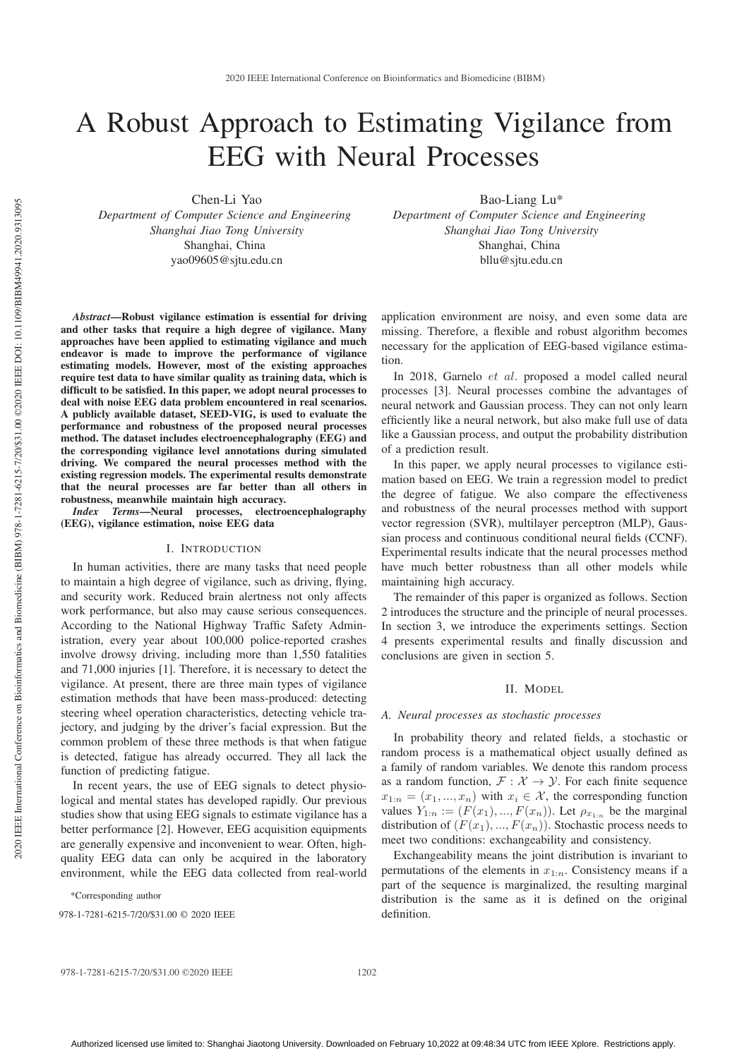# A Robust Approach to Estimating Vigilance from EEG with Neural Processes

Chen-Li Yao

*Department of Computer Science and Engineering Shanghai Jiao Tong University* Shanghai, China yao09605@sjtu.edu.cn

*Abstract*—Robust vigilance estimation is essential for driving and other tasks that require a high degree of vigilance. Many approaches have been applied to estimating vigilance and much endeavor is made to improve the performance of vigilance estimating models. However, most of the existing approaches require test data to have similar quality as training data, which is difficult to be satisfied. In this paper, we adopt neural processes to deal with noise EEG data problem encountered in real scenarios. A publicly available dataset, SEED-VIG, is used to evaluate the performance and robustness of the proposed neural processes method. The dataset includes electroencephalography (EEG) and the corresponding vigilance level annotations during simulated driving. We compared the neural processes method with the existing regression models. The experimental results demonstrate that the neural processes are far better than all others in robustness, meanwhile maintain high accuracy.

*Index Terms*—Neural processes, electroencephalography (EEG), vigilance estimation, noise EEG data

#### I. INTRODUCTION

In human activities, there are many tasks that need people to maintain a high degree of vigilance, such as driving, flying, and security work. Reduced brain alertness not only affects work performance, but also may cause serious consequences. According to the National Highway Traffic Safety Administration, every year about 100,000 police-reported crashes involve drowsy driving, including more than 1,550 fatalities and 71,000 injuries [1]. Therefore, it is necessary to detect the vigilance. At present, there are three main types of vigilance estimation methods that have been mass-produced: detecting steering wheel operation characteristics, detecting vehicle trajectory, and judging by the driver's facial expression. But the common problem of these three methods is that when fatigue is detected, fatigue has already occurred. They all lack the function of predicting fatigue.

In recent years, the use of EEG signals to detect physiological and mental states has developed rapidly. Our previous studies show that using EEG signals to estimate vigilance has a better performance [2]. However, EEG acquisition equipments are generally expensive and inconvenient to wear. Often, highquality EEG data can only be acquired in the laboratory environment, while the EEG data collected from real-world

\*Corresponding author

978-1-7281-6215-7/20/\$31.00 © 2020 IEEE definition.

Bao-Liang Lu\* *Department of Computer Science and Engineering Shanghai Jiao Tong University* Shanghai, China bllu@sjtu.edu.cn

application environment are noisy, and even some data are missing. Therefore, a flexible and robust algorithm becomes necessary for the application of EEG-based vigilance estimation.

In 2018, Garnelo et al. proposed a model called neural processes [3]. Neural processes combine the advantages of neural network and Gaussian process. They can not only learn efficiently like a neural network, but also make full use of data like a Gaussian process, and output the probability distribution of a prediction result.

In this paper, we apply neural processes to vigilance estimation based on EEG. We train a regression model to predict the degree of fatigue. We also compare the effectiveness and robustness of the neural processes method with support vector regression (SVR), multilayer perceptron (MLP), Gaussian process and continuous conditional neural fields (CCNF). Experimental results indicate that the neural processes method have much better robustness than all other models while maintaining high accuracy.

The remainder of this paper is organized as follows. Section 2 introduces the structure and the principle of neural processes. In section 3, we introduce the experiments settings. Section 4 presents experimental results and finally discussion and conclusions are given in section 5.

#### II. MODEL

#### *A. Neural processes as stochastic processes*

In probability theory and related fields, a stochastic or random process is a mathematical object usually defined as a family of random variables. We denote this random process as a random function,  $\mathcal{F} : \mathcal{X} \to \mathcal{Y}$ . For each finite sequence  $x_{1:n} = (x_1, ..., x_n)$  with  $x_i \in \mathcal{X}$ , the corresponding function values  $Y_{1:n} := (F(x_1),...,F(x_n))$ . Let  $\rho_{x_{1:n}}$  be the marginal distribution of  $(F(x_1),..., F(x_n))$ . Stochastic process needs to meet two conditions: exchangeability and consistency.

Exchangeability means the joint distribution is invariant to permutations of the elements in  $x_{1:n}$ . Consistency means if a part of the sequence is marginalized, the resulting marginal distribution is the same as it is defined on the original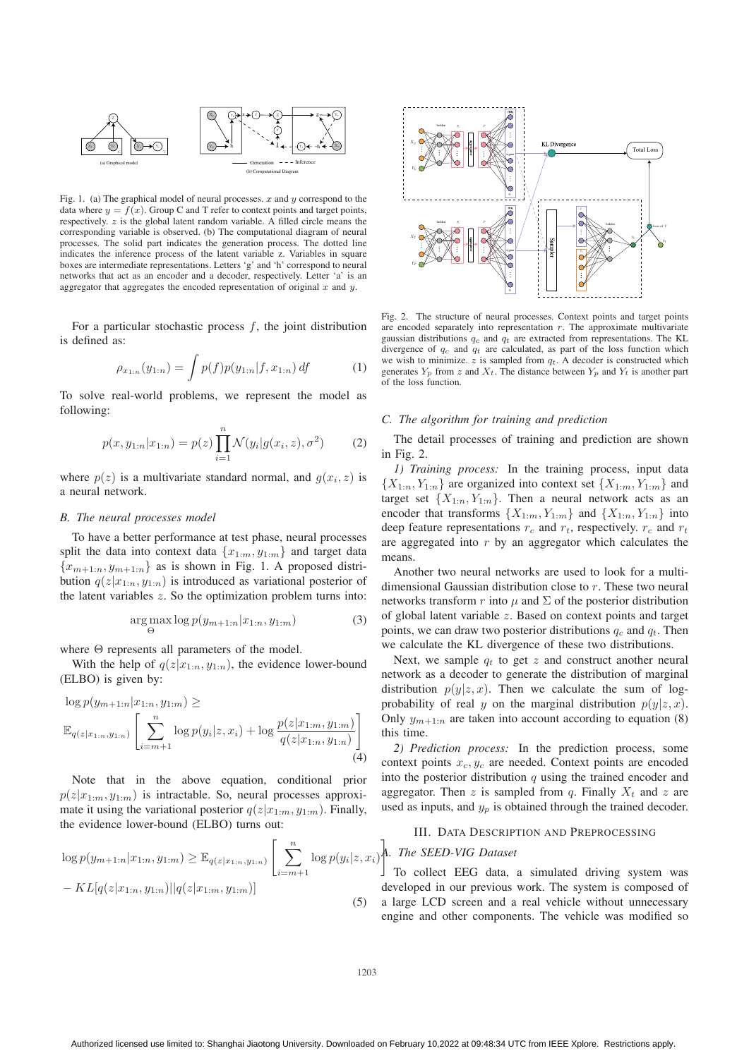

Fig. 1. (a) The graphical model of neural processes.  $x$  and  $y$  correspond to the data where  $y = f(x)$ . Group C and T refer to context points and target points, respectively. z is the global latent random variable. A filled circle means the corresponding variable is observed. (b) The computational diagram of neural processes. The solid part indicates the generation process. The dotted line indicates the inference process of the latent variable z. Variables in square boxes are intermediate representations. Letters 'g' and 'h' correspond to neural networks that act as an encoder and a decoder, respectively. Letter 'a' is an aggregator that aggregates the encoded representation of original  $x$  and  $y$ .

For a particular stochastic process  $f$ , the joint distribution is defined as:

$$
\rho_{x_{1:n}}(y_{1:n}) = \int p(f)p(y_{1:n}|f, x_{1:n}) df \tag{1}
$$

To solve real-world problems, we represent the model as following:

$$
p(x, y_{1:n}|x_{1:n}) = p(z) \prod_{i=1}^{n} \mathcal{N}(y_i|g(x_i, z), \sigma^2)
$$
 (2)

where  $p(z)$  is a multivariate standard normal, and  $q(x_i, z)$  is a neural network.

#### *B. The neural processes model*

To have a better performance at test phase, neural processes split the data into context data  $\{x_{1:m}, y_{1:m}\}$  and target data  ${x_{m+1:n}, y_{m+1:n}}$  as is shown in Fig. 1. A proposed distribution  $q(z|x_{1:n}, y_{1:n})$  is introduced as variational posterior of the latent variables  $z$ . So the optimization problem turns into:

$$
\underset{\Theta}{\arg\max} \log p(y_{m+1:n}|x_{1:n}, y_{1:m}) \tag{3}
$$

where Θ represents all parameters of the model.

With the help of  $q(z|x_{1:n}, y_{1:n})$ , the evidence lower-bound (ELBO) is given by:

$$
\log p(y_{m+1:n}|x_{1:n}, y_{1:m}) \ge
$$
  

$$
\mathbb{E}_{q(z|x_{1:n}, y_{1:n})} \left[ \sum_{i=m+1}^{n} \log p(y_i|z, x_i) + \log \frac{p(z|x_{1:m}, y_{1:m})}{q(z|x_{1:n}, y_{1:n})} \right]
$$
  
(4)

Note that in the above equation, conditional prior  $p(z|x_{1:m}, y_{1:m})$  is intractable. So, neural processes approximate it using the variational posterior  $q(z|x_{1:m}, y_{1:m})$ . Finally, the evidence lower-bound (ELBO) turns out:

$$
\log p(y_{m+1:n}|x_{1:n}, y_{1:m}) \geq \mathbb{E}_{q(z|x_{1:n}, y_{1:n})} \left[ \sum_{i=m+1}^{n} \log p(y_i|z, x_i) \right]
$$

$$
- KL[q(z|x_{1:n}, y_{1:n}) || q(z|x_{1:m}, y_{1:m})] \qquad (5)
$$



Fig. 2. The structure of neural processes. Context points and target points are encoded separately into representation  $r$ . The approximate multivariate gaussian distributions  $q_c$  and  $q_t$  are extracted from representations. The KL divergence of  $q_c$  and  $q_t$  are calculated, as part of the loss function which we wish to minimize.  $z$  is sampled from  $q_t$ . A decoder is constructed which generates  $Y_p$  from z and  $X_t$ . The distance between  $Y_p$  and  $Y_t$  is another part of the loss function.

#### *C. The algorithm for training and prediction*

The detail processes of training and prediction are shown in Fig. 2.

*1) Training process:* In the training process, input data  ${X_{1:n}, Y_{1:n}}$  are organized into context set  ${X_{1:n}, Y_{1:n}}$  and target set  $\{X_{1:n}, Y_{1:n}\}$ . Then a neural network acts as an encoder that transforms  $\{X_{1:m}, Y_{1:m}\}$  and  $\{X_{1:n}, Y_{1:n}\}$  into deep feature representations  $r_c$  and  $r_t$ , respectively.  $r_c$  and  $r_t$ are aggregated into  $r$  by an aggregator which calculates the means.

Another two neural networks are used to look for a multidimensional Gaussian distribution close to r. These two neural networks transform r into  $\mu$  and  $\Sigma$  of the posterior distribution of global latent variable z. Based on context points and target points, we can draw two posterior distributions  $q_c$  and  $q_t$ . Then we calculate the KL divergence of these two distributions.

Next, we sample  $q_t$  to get z and construct another neural network as a decoder to generate the distribution of marginal distribution  $p(y|z, x)$ . Then we calculate the sum of logprobability of real y on the marginal distribution  $p(y|z, x)$ . Only  $y_{m+1:n}$  are taken into account according to equation (8) this time.

*2) Prediction process:* In the prediction process, some context points  $x_c, y_c$  are needed. Context points are encoded into the posterior distribution  $q$  using the trained encoder and aggregator. Then z is sampled from q. Finally  $X_t$  and z are used as inputs, and  $y_p$  is obtained through the trained decoder.

#### III. DATA DESCRIPTION AND PREPROCESSING

# *A. The SEED-VIG Dataset*

To collect EEG data, a simulated driving system was developed in our previous work. The system is composed of a large LCD screen and a real vehicle without unnecessary engine and other components. The vehicle was modified so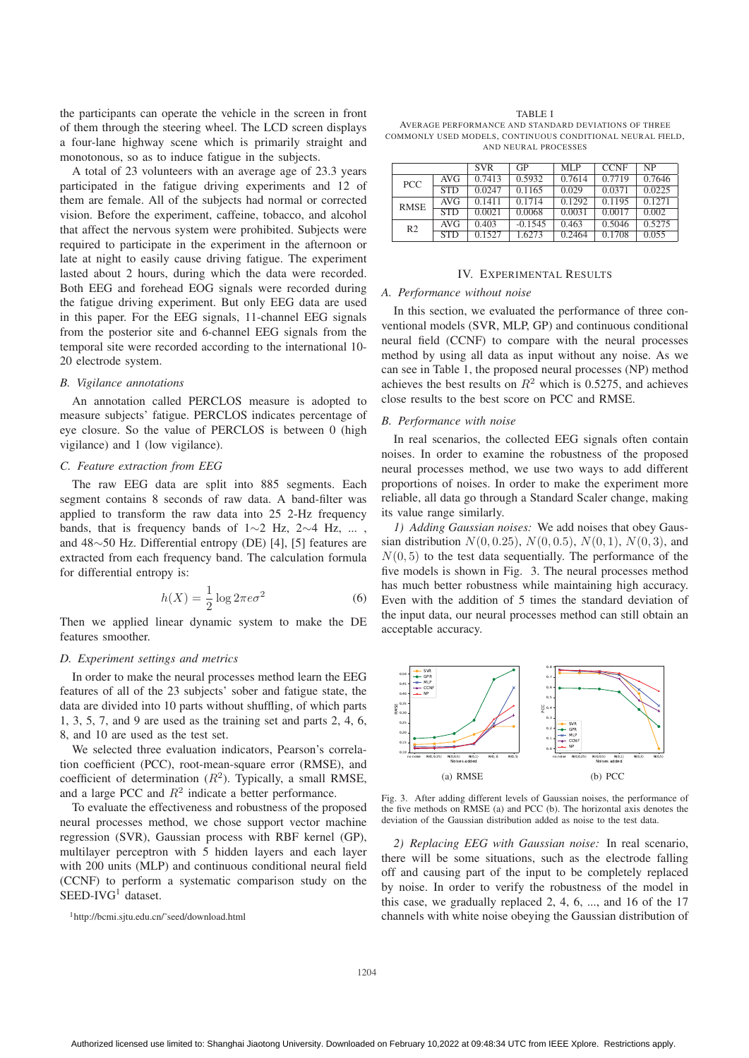the participants can operate the vehicle in the screen in front of them through the steering wheel. The LCD screen displays a four-lane highway scene which is primarily straight and monotonous, so as to induce fatigue in the subjects.

A total of 23 volunteers with an average age of 23.3 years participated in the fatigue driving experiments and 12 of them are female. All of the subjects had normal or corrected vision. Before the experiment, caffeine, tobacco, and alcohol that affect the nervous system were prohibited. Subjects were required to participate in the experiment in the afternoon or late at night to easily cause driving fatigue. The experiment lasted about 2 hours, during which the data were recorded. Both EEG and forehead EOG signals were recorded during the fatigue driving experiment. But only EEG data are used in this paper. For the EEG signals, 11-channel EEG signals from the posterior site and 6-channel EEG signals from the temporal site were recorded according to the international 10- 20 electrode system.

#### *B. Vigilance annotations*

An annotation called PERCLOS measure is adopted to measure subjects' fatigue. PERCLOS indicates percentage of eye closure. So the value of PERCLOS is between 0 (high vigilance) and 1 (low vigilance).

#### *C. Feature extraction from EEG*

The raw EEG data are split into 885 segments. Each segment contains 8 seconds of raw data. A band-filter was applied to transform the raw data into 25 2-Hz frequency bands, that is frequency bands of 1∼2 Hz, 2∼4 Hz, ... , and 48∼50 Hz. Differential entropy (DE) [4], [5] features are extracted from each frequency band. The calculation formula for differential entropy is:

$$
h(X) = \frac{1}{2} \log 2\pi e \sigma^2
$$
 (6)  
Then we applied linear dynamic system to make the DE

features smoother.

## *D. Experiment settings and metrics*

In order to make the neural processes method learn the EEG features of all of the 23 subjects' sober and fatigue state, the data are divided into 10 parts without shuffling, of which parts 1, 3, 5, 7, and 9 are used as the training set and parts 2, 4, 6, 8, and 10 are used as the test set.

We selected three evaluation indicators, Pearson's correlation coefficient (PCC), root-mean-square error (RMSE), and coefficient of determination  $(R^2)$ . Typically, a small RMSE, and a large PCC and  $R^2$  indicate a better performance.

To evaluate the effectiveness and robustness of the proposed neural processes method, we chose support vector machine regression (SVR), Gaussian process with RBF kernel (GP), multilayer perceptron with 5 hidden layers and each layer with 200 units (MLP) and continuous conditional neural field (CCNF) to perform a systematic comparison study on the SEED-IVG<sup>1</sup> dataset.

1http://bcmi.sjtu.edu.cn/˜seed/download.html

TABLE I

AVERAGE PERFORMANCE AND STANDARD DEVIATIONS OF THREE COMMONLY USED MODELS, CONTINUOUS CONDITIONAL NEURAL FIELD, AND NEURAL PROCESSES

|                |            | <b>SVR</b> | GP        | MLP    | <b>CCNF</b> | <b>NP</b> |
|----------------|------------|------------|-----------|--------|-------------|-----------|
| <b>PCC</b>     | AVG        | 0.7413     | 0.5932    | 0.7614 | 0.7719      | 0.7646    |
|                | <b>STD</b> | 0.0247     | 0.1165    | 0.029  | 0.0371      | 0.0225    |
| <b>RMSE</b>    | AVG        | 0.1411     | 0.1714    | 0.1292 | 0.1195      | 0.1271    |
|                | <b>STD</b> | 0.0021     | 0.0068    | 0.0031 | 0.0017      | 0.002     |
| R <sub>2</sub> | AVG        | 0.403      | $-0.1545$ | 0.463  | 0.5046      | 0.5275    |
|                | <b>STD</b> | 0.1527     | 1.6273    | 0.2464 | 0.1708      | 0.055     |

#### IV. EXPERIMENTAL RESULTS

#### *A. Performance without noise*

In this section, we evaluated the performance of three conventional models (SVR, MLP, GP) and continuous conditional neural field (CCNF) to compare with the neural processes method by using all data as input without any noise. As we can see in Table 1, the proposed neural processes (NP) method achieves the best results on  $R^2$  which is 0.5275, and achieves close results to the best score on PCC and RMSE.

#### *B. Performance with noise*

In real scenarios, the collected EEG signals often contain noises. In order to examine the robustness of the proposed neural processes method, we use two ways to add different proportions of noises. In order to make the experiment more reliable, all data go through a Standard Scaler change, making its value range similarly.

*1) Adding Gaussian noises:* We add noises that obey Gaussian distribution  $N(0, 0.25)$ ,  $N(0, 0.5)$ ,  $N(0, 1)$ ,  $N(0, 3)$ , and  $N(0, 5)$  to the test data sequentially. The performance of the five models is shown in Fig. 3. The neural processes method has much better robustness while maintaining high accuracy. Even with the addition of 5 times the standard deviation of the input data, our neural processes method can still obtain an acceptable accuracy.



Fig. 3. After adding different levels of Gaussian noises, the performance of the five methods on RMSE (a) and PCC (b). The horizontal axis denotes the deviation of the Gaussian distribution added as noise to the test data.

*2) Replacing EEG with Gaussian noise:* In real scenario, there will be some situations, such as the electrode falling off and causing part of the input to be completely replaced by noise. In order to verify the robustness of the model in this case, we gradually replaced 2, 4, 6, ..., and 16 of the 17 channels with white noise obeying the Gaussian distribution of